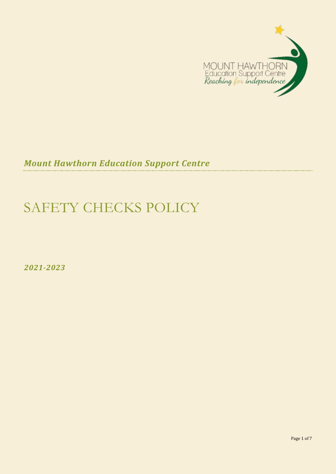

*Mount Hawthorn Education Support Centre*

# SAFETY CHECKS POLICY

*2021-2023*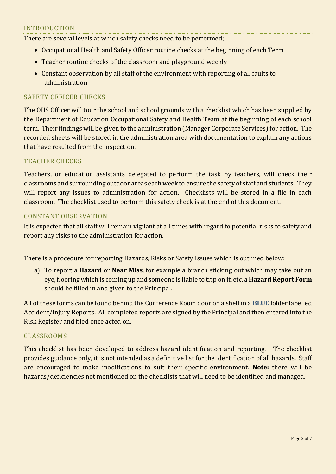## INTRODUCTION

There are several levels at which safety checks need to be performed;

- Occupational Health and Safety Officer routine checks at the beginning of each Term
- Teacher routine checks of the classroom and playground weekly
- Constant observation by all staff of the environment with reporting of all faults to administration

## SAFETY OFFICER CHECKS

The OHS Officer will tour the school and school grounds with a checklist which has been supplied by the Department of Education Occupational Safety and Health Team at the beginning of each school term. Their findings will be given to the administration (Manager Corporate Services) for action. The recorded sheets will be stored in the administration area with documentation to explain any actions that have resulted from the inspection.

## TEACHER CHECKS

Teachers, or education assistants delegated to perform the task by teachers, will check their classrooms and surrounding outdoor areas each week to ensure the safety of staff and students. They will report any issues to administration for action. Checklists will be stored in a file in each classroom. The checklist used to perform this safety check is at the end of this document.

#### CONSTANT OBSERVATION

It is expected that all staff will remain vigilant at all times with regard to potential risks to safety and report any risks to the administration for action.

There is a procedure for reporting Hazards, Risks or Safety Issues which is outlined below:

a) To report a **Hazard** or **Near Miss**, for example a branch sticking out which may take out an eye, flooring which is coming up and someone is liable to trip on it, etc, a **Hazard Report Form** should be filled in and given to the Principal.

All of these forms can be found behind the Conference Room door on a shelf in a **BLUE** folder labelled Accident/Injury Reports. All completed reports are signed by the Principal and then entered into the Risk Register and filed once acted on.

## CLASSROOMS

This checklist has been developed to address hazard identification and reporting. The checklist provides guidance only, it is not intended as a definitive list for the identification of all hazards. Staff are encouraged to make modifications to suit their specific environment. **Note:** there will be hazards/deficiencies not mentioned on the checklists that will need to be identified and managed.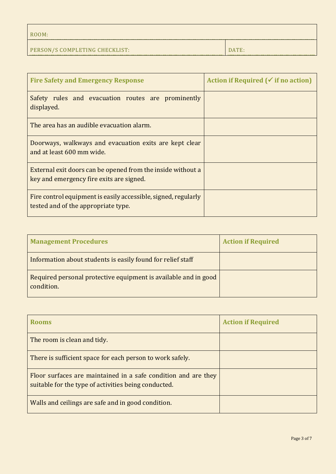| ROOM:                          |       |
|--------------------------------|-------|
| PERSON/S COMPLETING CHECKLIST: | DATE: |

| <b>Fire Safety and Emergency Response</b>                                                               | Action if Required ( $\checkmark$ if no action) |
|---------------------------------------------------------------------------------------------------------|-------------------------------------------------|
| Safety rules and evacuation routes are prominently<br>displayed.                                        |                                                 |
| The area has an audible evacuation alarm.                                                               |                                                 |
| Doorways, walkways and evacuation exits are kept clear<br>and at least 600 mm wide.                     |                                                 |
| External exit doors can be opened from the inside without a<br>key and emergency fire exits are signed. |                                                 |
| Fire control equipment is easily accessible, signed, regularly<br>tested and of the appropriate type.   |                                                 |

| <b>Management Procedures</b>                                                  | <b>Action if Required</b> |
|-------------------------------------------------------------------------------|---------------------------|
| Information about students is easily found for relief staff                   |                           |
| Required personal protective equipment is available and in good<br>condition. |                           |

| <b>Rooms</b>                                                                                                           | <b>Action if Required</b> |
|------------------------------------------------------------------------------------------------------------------------|---------------------------|
| The room is clean and tidy.                                                                                            |                           |
| There is sufficient space for each person to work safely.                                                              |                           |
| Floor surfaces are maintained in a safe condition and are they<br>suitable for the type of activities being conducted. |                           |
| Walls and ceilings are safe and in good condition.                                                                     |                           |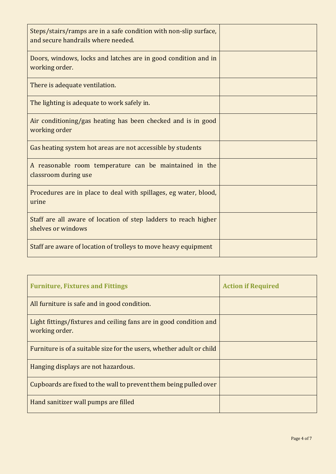| Steps/stairs/ramps are in a safe condition with non-slip surface,<br>and secure handrails where needed. |  |
|---------------------------------------------------------------------------------------------------------|--|
| Doors, windows, locks and latches are in good condition and in<br>working order.                        |  |
| There is adequate ventilation.                                                                          |  |
| The lighting is adequate to work safely in.                                                             |  |
| Air conditioning/gas heating has been checked and is in good<br>working order                           |  |
| Gas heating system hot areas are not accessible by students                                             |  |
| A reasonable room temperature can be maintained in the<br>classroom during use                          |  |
| Procedures are in place to deal with spillages, eg water, blood,<br>urine                               |  |
| Staff are all aware of location of step ladders to reach higher<br>shelves or windows                   |  |
| Staff are aware of location of trolleys to move heavy equipment                                         |  |

| <b>Furniture, Fixtures and Fittings</b>                                              | <b>Action if Required</b> |
|--------------------------------------------------------------------------------------|---------------------------|
| All furniture is safe and in good condition.                                         |                           |
| Light fittings/fixtures and ceiling fans are in good condition and<br>working order. |                           |
| Furniture is of a suitable size for the users, whether adult or child                |                           |
| Hanging displays are not hazardous.                                                  |                           |
| Cupboards are fixed to the wall to prevent them being pulled over                    |                           |
| Hand sanitizer wall pumps are filled                                                 |                           |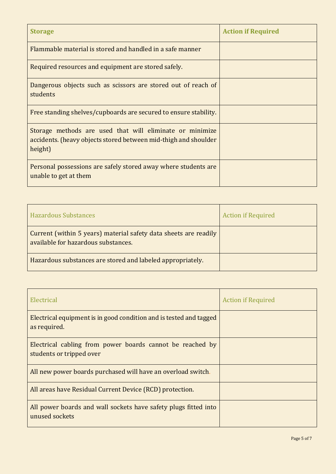| <b>Storage</b>                                                                                                                         | <b>Action if Required</b> |
|----------------------------------------------------------------------------------------------------------------------------------------|---------------------------|
| Flammable material is stored and handled in a safe manner                                                                              |                           |
| Required resources and equipment are stored safely.                                                                                    |                           |
| Dangerous objects such as scissors are stored out of reach of<br>students                                                              |                           |
| Free standing shelves/cupboards are secured to ensure stability.                                                                       |                           |
| Storage methods are used that will eliminate or minimize<br>accidents. (heavy objects stored between mid-thigh and shoulder<br>height) |                           |
| Personal possessions are safely stored away where students are<br>unable to get at them                                                |                           |

| <b>Hazardous Substances</b>                                                                             | <b>Action if Required</b> |
|---------------------------------------------------------------------------------------------------------|---------------------------|
| Current (within 5 years) material safety data sheets are readily<br>available for hazardous substances. |                           |
| Hazardous substances are stored and labeled appropriately.                                              |                           |

| Electrical                                                                            | <b>Action if Required</b> |
|---------------------------------------------------------------------------------------|---------------------------|
| Electrical equipment is in good condition and is tested and tagged<br>as required.    |                           |
| Electrical cabling from power boards cannot be reached by<br>students or tripped over |                           |
| All new power boards purchased will have an overload switch.                          |                           |
| All areas have Residual Current Device (RCD) protection.                              |                           |
| All power boards and wall sockets have safety plugs fitted into<br>unused sockets     |                           |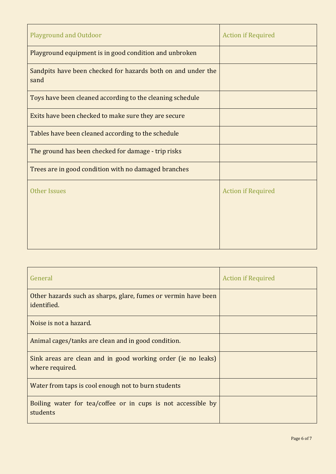| <b>Playground and Outdoor</b>                                        | <b>Action if Required</b> |
|----------------------------------------------------------------------|---------------------------|
| Playground equipment is in good condition and unbroken               |                           |
| Sandpits have been checked for hazards both on and under the<br>sand |                           |
| Toys have been cleaned according to the cleaning schedule            |                           |
| Exits have been checked to make sure they are secure                 |                           |
| Tables have been cleaned according to the schedule                   |                           |
| The ground has been checked for damage - trip risks                  |                           |
| Trees are in good condition with no damaged branches                 |                           |
| <b>Other Issues</b>                                                  | <b>Action if Required</b> |

| General                                                                         | <b>Action if Required</b> |
|---------------------------------------------------------------------------------|---------------------------|
| Other hazards such as sharps, glare, fumes or vermin have been<br>identified.   |                           |
| Noise is not a hazard.                                                          |                           |
| Animal cages/tanks are clean and in good condition.                             |                           |
| Sink areas are clean and in good working order (ie no leaks)<br>where required. |                           |
| Water from taps is cool enough not to burn students                             |                           |
| Boiling water for tea/coffee or in cups is not accessible by<br>students        |                           |